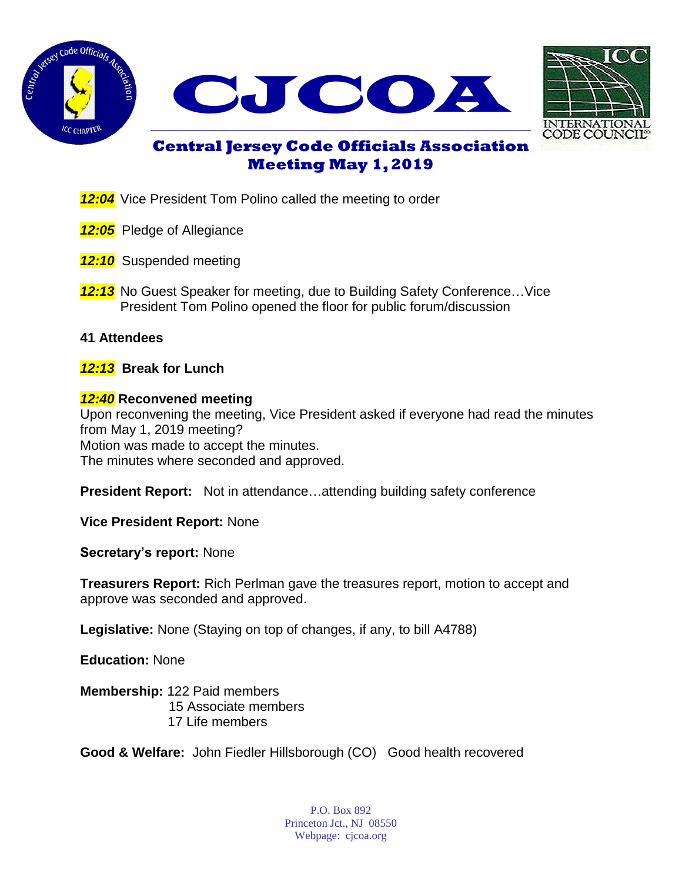





# **Central Jersey Code Officials Association Meeting May 1, 2019**

- **12:04** Vice President Tom Polino called the meeting to order
- *12:05* Pledge of Allegiance
- **12:10** Suspended meeting
- **12:13** No Guest Speaker for meeting, due to Building Safety Conference...Vice President Tom Polino opened the floor for public forum/discussion

### **41 Attendees**

*12:13* **Break for Lunch**

### *12:40* **Reconvened meeting**

Upon reconvening the meeting, Vice President asked if everyone had read the minutes from May 1, 2019 meeting? Motion was made to accept the minutes. The minutes where seconded and approved.

**President Report:** Not in attendance…attending building safety conference

**Vice President Report:** None

**Secretary's report:** None

**Treasurers Report:** Rich Perlman gave the treasures report, motion to accept and approve was seconded and approved.

**Legislative:** None (Staying on top of changes, if any, to bill A4788)

**Education:** None

**Membership:** 122 Paid members 15 Associate members 17 Life members

**Good & Welfare:** John Fiedler Hillsborough (CO) Good health recovered

P.O. Box 892 Princeton Jct., NJ 08550 Webpage: cjcoa.org